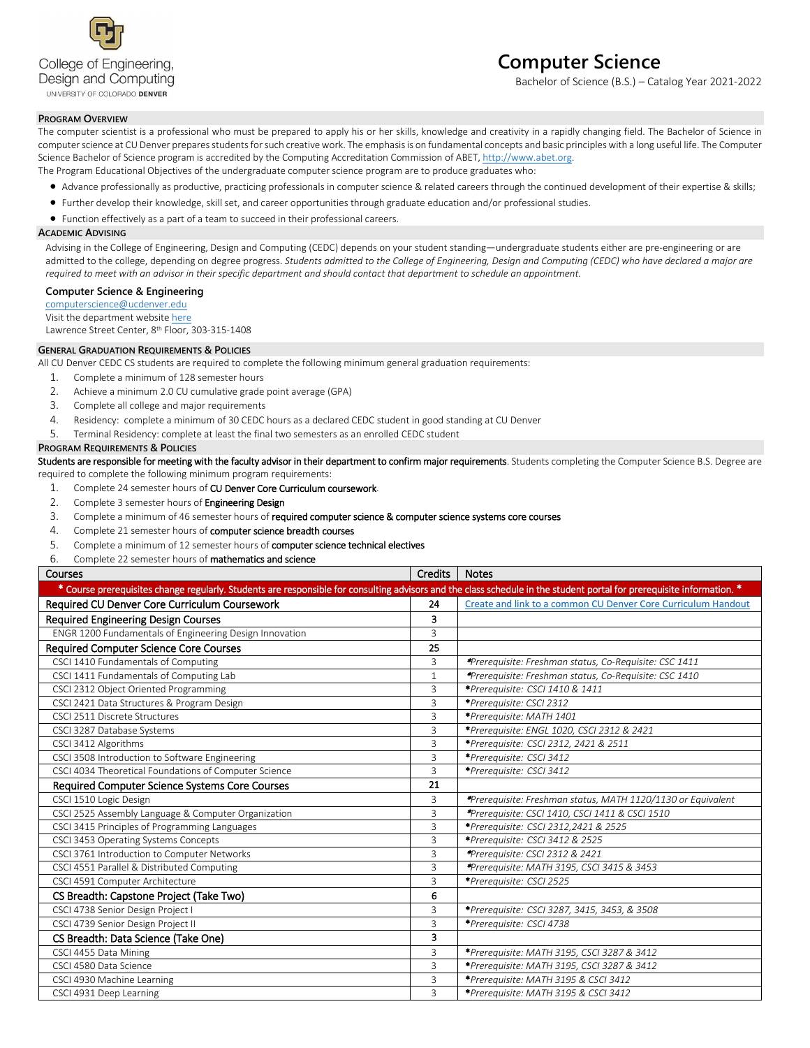

# **Computer Science**

Bachelor of Science (B.S.) – Catalog Year 2021-2022

## **PROGRAM OVERVIEW**

The computer scientist is a professional who must be prepared to apply his or her skills, knowledge and creativity in a rapidly changing field. The Bachelor of Science in computer science at CU Denver prepares students for such creative work. The emphasis is on fundamental concepts and basic principles with a long useful life. The Computer Science Bachelor of Science program is accredited by the Computing Accreditation Commission of ABET[, http://www.abet.org.](http://www.abet.org/) The Program Educational Objectives of the undergraduate computer science program are to produce graduates who:

- Advance professionally as productive, practicing professionals in computer science & related careers through the continued development of their expertise & skills;
- Further develop their knowledge, skill set, and career opportunities through graduate education and/or professional studies.
- Function effectively as a part of a team to succeed in their professional careers.

### **ACADEMIC ADVISING**

Advising in the College of Engineering, Design and Computing (CEDC) depends on your student standing—undergraduate students either are pre-engineering or are admitted to the college, depending on degree progress. *Students admitted to the College of Engineering, Design and Computing (CEDC) who have declared a major are required to meet with an advisor in their specific department and should contact that department to schedule an appointment.*

#### **Computer Science & Engineering**

[computerscience@ucdenver.edu](mailto:computerscience@ucdenver.edu)

Visit the department websit[e here](http://www.ucdenver.edu/academics/colleges/Engineering/Programs/Computer-Science-and-Engineering/DegreePrograms/BachelorScience/Pages/BachelorScience.aspx) Lawrence Street Center, 8th Floor, 303-315-1408

#### **GENERAL GRADUATION REQUIREMENTS & POLICIES**

All CU Denver CEDC CS students are required to complete the following minimum general graduation requirements:

- 1. Complete a minimum of 128 semester hours
- 2. Achieve a minimum 2.0 CU cumulative grade point average (GPA)
- 3. Complete all college and major requirements
- 4. Residency: complete a minimum of 30 CEDC hours as a declared CEDC student in good standing at CU Denver
- 5. Terminal Residency: complete at least the final two semesters as an enrolled CEDC student

### **PROGRAM REQUIREMENTS & POLICIES**

Students are responsible for meeting with the faculty advisor in their department to confirm major requirements. Students completing the Computer Science B.S. Degree are required to complete the following minimum program requirements:

- 1. Complete 24 semester hours of CU Denver Core Curriculum coursework.
- 2. Complete 3 semester hours of Engineering Design
- 3. Complete a minimum of 46 semester hours of required computer science & computer science systems core courses
- 4. Complete 21 semester hours of computer science breadth courses
- 5. Complete a minimum of 12 semester hours of computer science technical electives
- 6. Complete 22 semester hours of mathematics and science

| Courses                                                                                                                                                                | Credits        | <b>Notes</b>                                                  |
|------------------------------------------------------------------------------------------------------------------------------------------------------------------------|----------------|---------------------------------------------------------------|
| * Course prerequisites change regularly. Students are responsible for consulting advisors and the class schedule in the student portal for prerequisite information. * |                |                                                               |
| Required CU Denver Core Curriculum Coursework                                                                                                                          | 24             | Create and link to a common CU Denver Core Curriculum Handout |
| <b>Required Engineering Design Courses</b>                                                                                                                             | 3              |                                                               |
| ENGR 1200 Fundamentals of Engineering Design Innovation                                                                                                                | 3              |                                                               |
| <b>Required Computer Science Core Courses</b>                                                                                                                          | 25             |                                                               |
| CSCI 1410 Fundamentals of Computing                                                                                                                                    | 3              | *Prerequisite: Freshman status, Co-Requisite: CSC 1411        |
| CSCI 1411 Fundamentals of Computing Lab                                                                                                                                | $\mathbf{1}$   | *Prerequisite: Freshman status, Co-Requisite: CSC 1410        |
| CSCI 2312 Object Oriented Programming                                                                                                                                  | 3              | *Prerequisite: CSCI 1410 & 1411                               |
| CSCI 2421 Data Structures & Program Design                                                                                                                             | 3              | *Prerequisite: CSCI 2312                                      |
| CSCL2511 Discrete Structures                                                                                                                                           | $\overline{3}$ | *Prerequisite: MATH 1401                                      |
| CSCI 3287 Database Systems                                                                                                                                             | 3              | *Prerequisite: ENGL 1020, CSCI 2312 & 2421                    |
| CSCI 3412 Algorithms                                                                                                                                                   | 3              | *Prerequisite: CSCI 2312, 2421 & 2511                         |
| CSCI 3508 Introduction to Software Engineering                                                                                                                         | 3              | *Prerequisite: CSCI 3412                                      |
| CSCI 4034 Theoretical Foundations of Computer Science                                                                                                                  | 3              | *Prerequisite: CSCI 3412                                      |
| Required Computer Science Systems Core Courses                                                                                                                         | 21             |                                                               |
| CSCI 1510 Logic Design                                                                                                                                                 | 3              | *Prerequisite: Freshman status, MATH 1120/1130 or Equivalent  |
| CSCI 2525 Assembly Language & Computer Organization                                                                                                                    | 3              | *Prerequisite: CSCI 1410, CSCI 1411 & CSCI 1510               |
| CSCI 3415 Principles of Programming Languages                                                                                                                          | 3              | *Prerequisite: CSCI 2312,2421 & 2525                          |
| CSCI 3453 Operating Systems Concepts                                                                                                                                   | 3              | *Prerequisite: CSCI 3412 & 2525                               |
| CSCI 3761 Introduction to Computer Networks                                                                                                                            | 3              | *Prerequisite: CSCI 2312 & 2421                               |
| CSCI 4551 Parallel & Distributed Computing                                                                                                                             | 3              | *Prerequisite: MATH 3195, CSCI 3415 & 3453                    |
| CSCI 4591 Computer Architecture                                                                                                                                        | 3              | *Prerequisite: CSCI 2525                                      |
| CS Breadth: Capstone Project (Take Two)                                                                                                                                | 6              |                                                               |
| CSCI 4738 Senior Design Project I                                                                                                                                      | 3              | *Prerequisite: CSCI 3287, 3415, 3453, & 3508                  |
| CSCI 4739 Senior Design Project II                                                                                                                                     | 3              | *Prerequisite: CSCI 4738                                      |
| CS Breadth: Data Science (Take One)                                                                                                                                    | 3              |                                                               |
| CSCI 4455 Data Mining                                                                                                                                                  | 3              | *Prerequisite: MATH 3195, CSCI 3287 & 3412                    |
| CSCI 4580 Data Science                                                                                                                                                 | 3              | *Prerequisite: MATH 3195, CSCI 3287 & 3412                    |
| CSCI 4930 Machine Learning                                                                                                                                             | 3              | *Prerequisite: MATH 3195 & CSCI 3412                          |
| CSCI 4931 Deep Learning                                                                                                                                                | 3              | *Prerequisite: MATH 3195 & CSCI 3412                          |